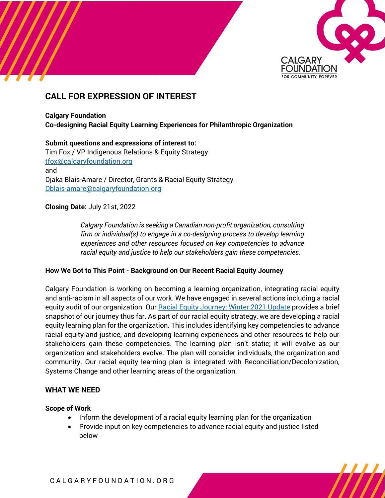

# **CALL FOR EXPRESSION OF INTEREST**

### **Calgary Foundation Co-designing Racial Equity Learning Experiences for Philanthropic Organization**

**Submit questions and expressions of interest to:** Tim Fox / VP Indigenous Relations & Equity Strategy [tfox@calgaryfoundation.org](mailto:tfox@calgaryfoundation.org) and Djaka Blais-Amare / Director, Grants & Racial Equity Strategy [Dblais-amare@calgaryfoundation.org](mailto:Dblais-amare@calgaryfoundation.org) 

# **Closing Date:** July 21st, 2022

*Calgary Foundation is seeking a Canadian non-profit organization, consulting firm or individual(s) to engage in a co-designing process to develop learning experiences and other resources focused on key competencies to advance racial equity and justice to help our stakeholders gain these competencies.*

# **How We Got to This Point - Background on Our Recent Racial Equity Journey**

Calgary Foundation is working on becoming a learning organization, integrating racial equity and anti-racism in all aspects of our work. We have engaged in several actions including a racial equity audit of our organization. Ou[r Racial Equity Journey: Winter 2021 Update](https://calgaryfoundation.org/wp-content/uploads/Calgary-Foundations-Racial-Equity-Journey-Winter-2021.pdf) provides a brief snapshot of our journey thus far. As part of our racial equity strategy, we are developing a racial equity learning plan for the organization. This includes identifying key competencies to advance racial equity and justice, and developing learning experiences and other resources to help our stakeholders gain these competencies. The learning plan isn't static; it will evolve as our organization and stakeholders evolve. The plan will consider individuals, the organization and community. Our racial equity learning plan is integrated with Reconciliation/Decolonization, Systems Change and other learning areas of the organization.

# **WHAT WE NEED**

# **Scope of Work**

- Inform the development of a racial equity learning plan for the organization
- Provide input on key competencies to advance racial equity and justice listed below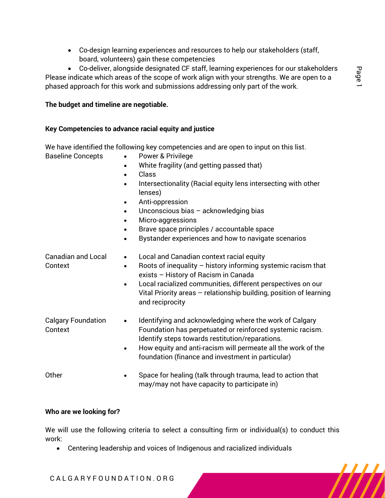• Co-design learning experiences and resources to help our stakeholders (staff, board, volunteers) gain these competencies

• Co-deliver, alongside designated CF staff, learning experiences for our stakeholders Please indicate which areas of the scope of work align with your strengths. We are open to a phased approach for this work and submissions addressing only part of the work.

### **The budget and timeline are negotiable.**

#### **Key Competencies to advance racial equity and justice**

We have identified the following key competencies and are open to input on this list.

- 
- Baseline Concepts Power & Privilege
	- White fragility (and getting passed that)
	- Class
	- Intersectionality (Racial equity lens intersecting with other lenses)
	- Anti-oppression
	- Unconscious bias  $-$  acknowledging bias
	- Micro-aggressions
	- Brave space principles / accountable space
	- Bystander experiences and how to navigate scenarios
- Canadian and Local Context • Local and Canadian context racial equity • Roots of inequality – history informing systemic racism that exists – History of Racism in Canada Local racialized communities, different perspectives on our Vital Priority areas – relationship building, position of learning and reciprocity Calgary Foundation Context • Identifying and acknowledging where the work of Calgary Foundation has perpetuated or reinforced systemic racism. Identify steps towards restitution/reparations. • How equity and anti-racism will permeate all the work of the foundation (finance and investment in particular) Other **• Space for healing (talk through trauma, lead to action that** may/may not have capacity to participate in)

#### **Who are we looking for?**

We will use the following criteria to select a consulting firm or individual(s) to conduct this work:

• Centering leadership and voices of Indigenous and racialized individuals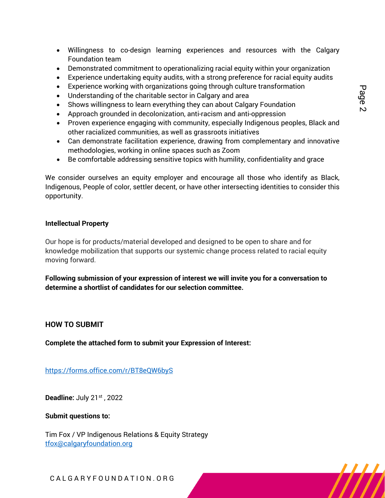- Willingness to co-design learning experiences and resources with the Calgary Foundation team
- Demonstrated commitment to operationalizing racial equity within your organization
- Experience undertaking equity audits, with a strong preference for racial equity audits
- Experience working with organizations going through culture transformation
- Understanding of the charitable sector in Calgary and area
- Shows willingness to learn everything they can about Calgary Foundation
- Approach grounded in decolonization, anti-racism and anti-oppression
- Proven experience engaging with community, especially Indigenous peoples, Black and other racialized communities, as well as grassroots initiatives
- Can demonstrate facilitation experience, drawing from complementary and innovative methodologies, working in online spaces such as Zoom
- Be comfortable addressing sensitive topics with humility, confidentiality and grace

We consider ourselves an equity employer and encourage all those who identify as Black, Indigenous, People of color, settler decent, or have other intersecting identities to consider this opportunity.

#### **Intellectual Property**

Our hope is for products/material developed and designed to be open to share and for knowledge mobilization that supports our systemic change process related to racial equity moving forward.

**Following submission of your expression of interest we will invite you for a conversation to determine a shortlist of candidates for our selection committee.**

# **HOW TO SUBMIT**

**Complete the attached form to submit your Expression of Interest:**

<https://forms.office.com/r/BT8eQW6byS>

**Deadline:** July 21st, 2022

**Submit questions to:**

Tim Fox / VP Indigenous Relations & Equity Strategy [tfox@calgaryfoundation.org](mailto:tfox@calgaryfoundation.org)

C A L G A R Y F O U N D A T I O N . O R G